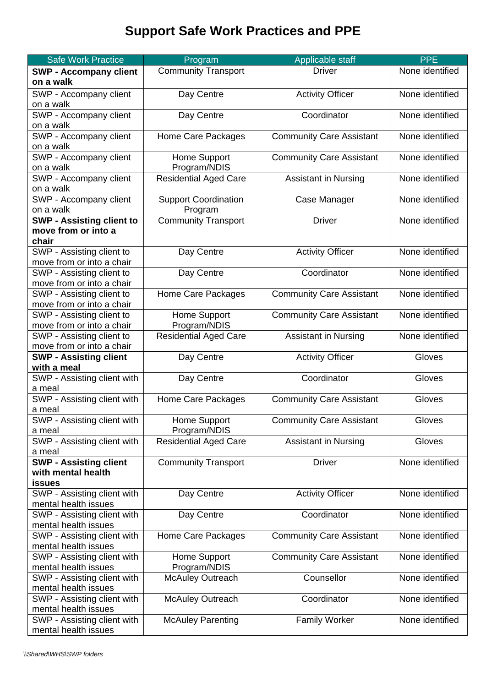## **Support Safe Work Practices and PPE**

| <b>Safe Work Practice</b>                               | Program                      | Applicable staff                | <b>PPE</b>      |
|---------------------------------------------------------|------------------------------|---------------------------------|-----------------|
| <b>SWP - Accompany client</b>                           | <b>Community Transport</b>   | <b>Driver</b>                   | None identified |
| on a walk                                               |                              |                                 |                 |
| SWP - Accompany client                                  | Day Centre                   | <b>Activity Officer</b>         | None identified |
| on a walk                                               |                              |                                 |                 |
| SWP - Accompany client                                  | Day Centre                   | Coordinator                     | None identified |
| on a walk                                               |                              |                                 |                 |
| SWP - Accompany client                                  | Home Care Packages           | <b>Community Care Assistant</b> | None identified |
| on a walk                                               |                              |                                 |                 |
| SWP - Accompany client                                  | Home Support                 | <b>Community Care Assistant</b> | None identified |
| on a walk                                               | Program/NDIS                 |                                 |                 |
| SWP - Accompany client                                  | <b>Residential Aged Care</b> | <b>Assistant in Nursing</b>     | None identified |
| on a walk                                               |                              |                                 |                 |
| SWP - Accompany client                                  | <b>Support Coordination</b>  | Case Manager                    | None identified |
| on a walk                                               | Program                      |                                 |                 |
| <b>SWP - Assisting client to</b><br>move from or into a | <b>Community Transport</b>   | <b>Driver</b>                   | None identified |
| chair                                                   |                              |                                 |                 |
| SWP - Assisting client to                               | Day Centre                   | <b>Activity Officer</b>         | None identified |
| move from or into a chair                               |                              |                                 |                 |
| SWP - Assisting client to                               | Day Centre                   | Coordinator                     | None identified |
| move from or into a chair                               |                              |                                 |                 |
| SWP - Assisting client to                               | Home Care Packages           | <b>Community Care Assistant</b> | None identified |
| move from or into a chair                               |                              |                                 |                 |
| SWP - Assisting client to                               | Home Support                 | <b>Community Care Assistant</b> | None identified |
| move from or into a chair                               | Program/NDIS                 |                                 |                 |
| SWP - Assisting client to                               | Residential Aged Care        | <b>Assistant in Nursing</b>     | None identified |
| move from or into a chair                               |                              |                                 |                 |
| <b>SWP - Assisting client</b>                           | Day Centre                   | <b>Activity Officer</b>         | Gloves          |
| with a meal                                             |                              |                                 |                 |
| SWP - Assisting client with                             | Day Centre                   | Coordinator                     | Gloves          |
| a meal                                                  |                              |                                 |                 |
| SWP - Assisting client with                             | Home Care Packages           | <b>Community Care Assistant</b> | Gloves          |
| a meal                                                  |                              |                                 |                 |
| SWP - Assisting client with                             | Home Support<br>Program/NDIS | <b>Community Care Assistant</b> | Gloves          |
| a meal<br>SWP - Assisting client with                   | <b>Residential Aged Care</b> | <b>Assistant in Nursing</b>     | Gloves          |
| a meal                                                  |                              |                                 |                 |
| <b>SWP - Assisting client</b>                           | <b>Community Transport</b>   | <b>Driver</b>                   | None identified |
| with mental health                                      |                              |                                 |                 |
| <b>issues</b>                                           |                              |                                 |                 |
| SWP - Assisting client with                             | Day Centre                   | <b>Activity Officer</b>         | None identified |
| mental health issues                                    |                              |                                 |                 |
| SWP - Assisting client with                             | Day Centre                   | Coordinator                     | None identified |
| mental health issues                                    |                              |                                 |                 |
| SWP - Assisting client with                             | Home Care Packages           | <b>Community Care Assistant</b> | None identified |
| mental health issues                                    |                              |                                 |                 |
| SWP - Assisting client with                             | Home Support                 | <b>Community Care Assistant</b> | None identified |
| mental health issues                                    | Program/NDIS                 |                                 |                 |
| SWP - Assisting client with                             | <b>McAuley Outreach</b>      | Counsellor                      | None identified |
| mental health issues                                    |                              |                                 |                 |
| SWP - Assisting client with<br>mental health issues     | <b>McAuley Outreach</b>      | Coordinator                     | None identified |
| SWP - Assisting client with                             | <b>McAuley Parenting</b>     | <b>Family Worker</b>            | None identified |
| mental health issues                                    |                              |                                 |                 |
|                                                         |                              |                                 |                 |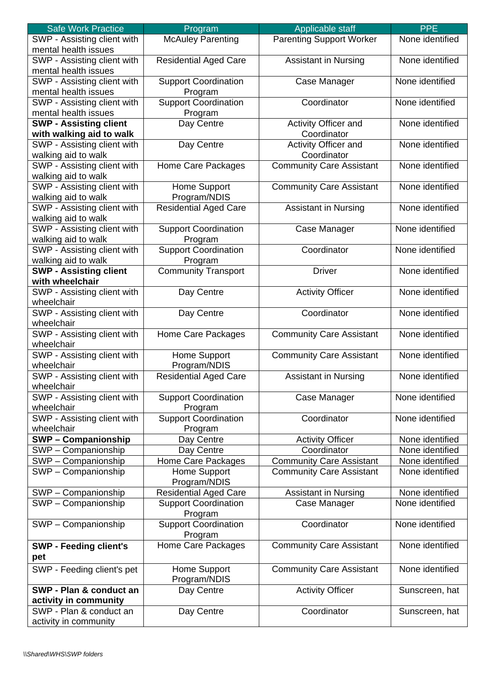| <b>Safe Work Practice</b>     | Program                      | Applicable staff                | <b>PPE</b>      |
|-------------------------------|------------------------------|---------------------------------|-----------------|
| SWP - Assisting client with   | <b>McAuley Parenting</b>     | <b>Parenting Support Worker</b> | None identified |
| mental health issues          |                              |                                 |                 |
| SWP - Assisting client with   | <b>Residential Aged Care</b> | <b>Assistant in Nursing</b>     | None identified |
| mental health issues          |                              |                                 |                 |
| SWP - Assisting client with   | <b>Support Coordination</b>  | Case Manager                    | None identified |
| mental health issues          | Program                      |                                 |                 |
| SWP - Assisting client with   | <b>Support Coordination</b>  | Coordinator                     | None identified |
| mental health issues          | Program                      |                                 |                 |
| <b>SWP - Assisting client</b> | Day Centre                   | Activity Officer and            | None identified |
| with walking aid to walk      |                              | Coordinator                     |                 |
| SWP - Assisting client with   | Day Centre                   | <b>Activity Officer and</b>     | None identified |
| walking aid to walk           |                              | Coordinator                     |                 |
| SWP - Assisting client with   | Home Care Packages           | <b>Community Care Assistant</b> | None identified |
| walking aid to walk           |                              |                                 |                 |
| SWP - Assisting client with   | Home Support                 | <b>Community Care Assistant</b> | None identified |
| walking aid to walk           | Program/NDIS                 |                                 |                 |
| SWP - Assisting client with   | <b>Residential Aged Care</b> | <b>Assistant in Nursing</b>     | None identified |
| walking aid to walk           |                              |                                 |                 |
| SWP - Assisting client with   | <b>Support Coordination</b>  | Case Manager                    | None identified |
| walking aid to walk           | Program                      |                                 |                 |
| SWP - Assisting client with   | <b>Support Coordination</b>  | Coordinator                     | None identified |
| walking aid to walk           | Program                      |                                 |                 |
| <b>SWP - Assisting client</b> | <b>Community Transport</b>   | <b>Driver</b>                   | None identified |
| with wheelchair               |                              |                                 |                 |
| SWP - Assisting client with   | Day Centre                   | <b>Activity Officer</b>         | None identified |
| wheelchair                    |                              |                                 |                 |
| SWP - Assisting client with   | Day Centre                   | Coordinator                     | None identified |
| wheelchair                    |                              |                                 |                 |
| SWP - Assisting client with   | Home Care Packages           | <b>Community Care Assistant</b> | None identified |
| wheelchair                    |                              |                                 |                 |
| SWP - Assisting client with   | Home Support                 | <b>Community Care Assistant</b> | None identified |
| wheelchair                    | Program/NDIS                 |                                 |                 |
| SWP - Assisting client with   | <b>Residential Aged Care</b> | <b>Assistant in Nursing</b>     | None identified |
| wheelchair                    |                              |                                 |                 |
| SWP - Assisting client with   | <b>Support Coordination</b>  | Case Manager                    | None identified |
| wheelchair                    | Program                      |                                 |                 |
| SWP - Assisting client with   | <b>Support Coordination</b>  | Coordinator                     | None identified |
| wheelchair                    | Program                      |                                 |                 |
| <b>SWP-Companionship</b>      | Day Centre                   | <b>Activity Officer</b>         | None identified |
| SWP - Companionship           | Day Centre                   | Coordinator                     | None identified |
| SWP - Companionship           | Home Care Packages           | <b>Community Care Assistant</b> | None identified |
| SWP - Companionship           | Home Support                 | <b>Community Care Assistant</b> | None identified |
|                               | Program/NDIS                 |                                 |                 |
| SWP - Companionship           | <b>Residential Aged Care</b> | <b>Assistant in Nursing</b>     | None identified |
| SWP - Companionship           | <b>Support Coordination</b>  | Case Manager                    | None identified |
|                               | Program                      |                                 |                 |
| SWP - Companionship           | <b>Support Coordination</b>  | Coordinator                     | None identified |
|                               | Program                      |                                 |                 |
| <b>SWP - Feeding client's</b> | Home Care Packages           | <b>Community Care Assistant</b> | None identified |
| pet                           |                              |                                 |                 |
|                               | Home Support                 | <b>Community Care Assistant</b> | None identified |
| SWP - Feeding client's pet    | Program/NDIS                 |                                 |                 |
| SWP - Plan & conduct an       | Day Centre                   | <b>Activity Officer</b>         | Sunscreen, hat  |
| activity in community         |                              |                                 |                 |
| SWP - Plan & conduct an       | Day Centre                   | Coordinator                     | Sunscreen, hat  |
|                               |                              |                                 |                 |
| activity in community         |                              |                                 |                 |